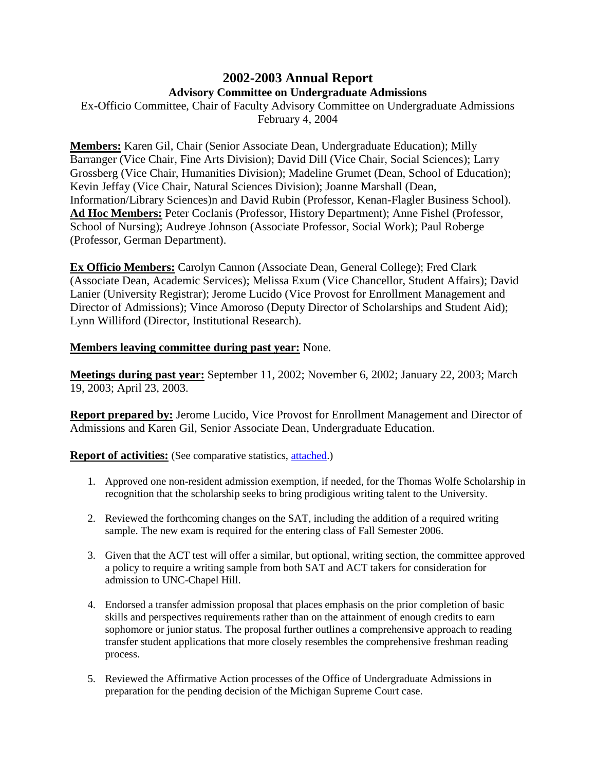## **2002-2003 Annual Report Advisory Committee on Undergraduate Admissions**

Ex-Officio Committee, Chair of Faculty Advisory Committee on Undergraduate Admissions February 4, 2004

**Members:** Karen Gil, Chair (Senior Associate Dean, Undergraduate Education); Milly Barranger (Vice Chair, Fine Arts Division); David Dill (Vice Chair, Social Sciences); Larry Grossberg (Vice Chair, Humanities Division); Madeline Grumet (Dean, School of Education); Kevin Jeffay (Vice Chair, Natural Sciences Division); Joanne Marshall (Dean, Information/Library Sciences)n and David Rubin (Professor, Kenan-Flagler Business School). **Ad Hoc Members:** Peter Coclanis (Professor, History Department); Anne Fishel (Professor, School of Nursing); Audreye Johnson (Associate Professor, Social Work); Paul Roberge (Professor, German Department).

**Ex Officio Members:** Carolyn Cannon (Associate Dean, General College); Fred Clark (Associate Dean, Academic Services); Melissa Exum (Vice Chancellor, Student Affairs); David Lanier (University Registrar); Jerome Lucido (Vice Provost for Enrollment Management and Director of Admissions); Vince Amoroso (Deputy Director of Scholarships and Student Aid); Lynn Williford (Director, Institutional Research).

## **Members leaving committee during past year:** None.

**Meetings during past year:** September 11, 2002; November 6, 2002; January 22, 2003; March 19, 2003; April 23, 2003.

**Report prepared by:** Jerome Lucido, Vice Provost for Enrollment Management and Director of Admissions and Karen Gil, Senior Associate Dean, Undergraduate Education.

**Report of activities:** (See comparative statistics, [attached.](http://www.unc.edu/faculty/faccoun/reports/2003-04/R04ADM2.xls))

- 1. Approved one non-resident admission exemption, if needed, for the Thomas Wolfe Scholarship in recognition that the scholarship seeks to bring prodigious writing talent to the University.
- 2. Reviewed the forthcoming changes on the SAT, including the addition of a required writing sample. The new exam is required for the entering class of Fall Semester 2006.
- 3. Given that the ACT test will offer a similar, but optional, writing section, the committee approved a policy to require a writing sample from both SAT and ACT takers for consideration for admission to UNC-Chapel Hill.
- 4. Endorsed a transfer admission proposal that places emphasis on the prior completion of basic skills and perspectives requirements rather than on the attainment of enough credits to earn sophomore or junior status. The proposal further outlines a comprehensive approach to reading transfer student applications that more closely resembles the comprehensive freshman reading process.
- 5. Reviewed the Affirmative Action processes of the Office of Undergraduate Admissions in preparation for the pending decision of the Michigan Supreme Court case.